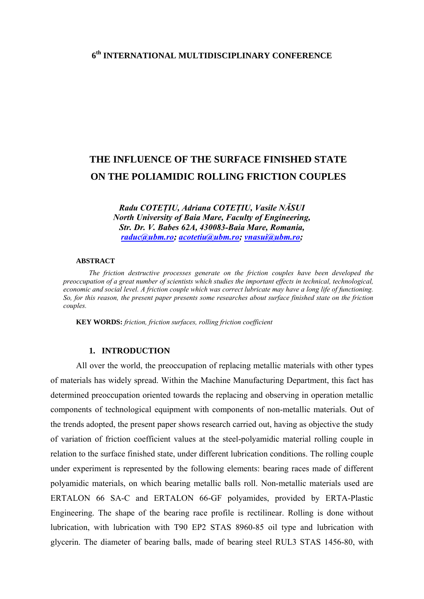## **6th INTERNATIONAL MULTIDISCIPLINARY CONFERENCE**

# **THE INFLUENCE OF THE SURFACE FINISHED STATE ON THE POLIAMIDIC ROLLING FRICTION COUPLES**

*Radu COTEŢIU, Adriana COTEŢIU, Vasile NĂSUI North University of Baia Mare, Faculty of Engineering, Str. Dr. V. Babes 62A, 430083-Baia Mare, Romania, [raduc@ubm.ro](mailto:raduc@ubm.ro); [acotetiu@ubm.ro](mailto:acotetiu@ubm.ro); [vnasui@ubm.ro](mailto:vnasui@ubm.ro);* 

#### **ABSTRACT**

*The friction destructive processes generate on the friction couples have been developed the preoccupation of a great number of scientists which studies the important effects in technical, technological, economic and social level. A friction couple which was correct lubricate may have a long life of functioning. So, for this reason, the present paper presents some researches about surface finished state on the friction couples.* 

**KEY WORDS:** *friction, friction surfaces, rolling friction coefficient*

#### **1. INTRODUCTION**

All over the world, the preoccupation of replacing metallic materials with other types of materials has widely spread. Within the Machine Manufacturing Department, this fact has determined preoccupation oriented towards the replacing and observing in operation metallic components of technological equipment with components of non-metallic materials. Out of the trends adopted, the present paper shows research carried out, having as objective the study of variation of friction coefficient values at the steel-polyamidic material rolling couple in relation to the surface finished state, under different lubrication conditions. The rolling couple under experiment is represented by the following elements: bearing races made of different polyamidic materials, on which bearing metallic balls roll. Non-metallic materials used are ERTALON 66 SA-C and ERTALON 66-GF polyamides, provided by ERTA-Plastic Engineering. The shape of the bearing race profile is rectilinear. Rolling is done without lubrication, with lubrication with T90 EP2 STAS 8960-85 oil type and lubrication with glycerin. The diameter of bearing balls, made of bearing steel RUL3 STAS 1456-80, with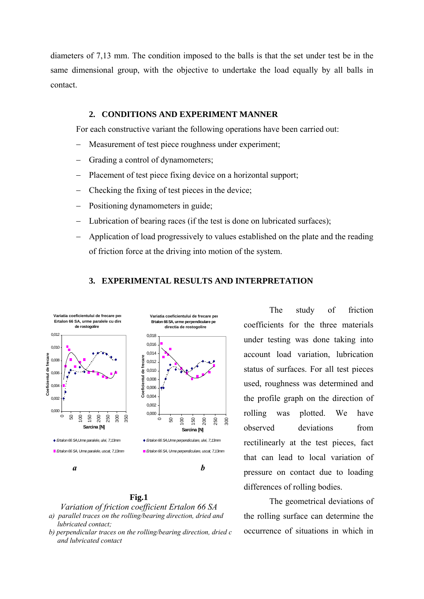diameters of 7,13 mm. The condition imposed to the balls is that the set under test be in the same dimensional group, with the objective to undertake the load equally by all balls in contact.

#### **2. CONDITIONS AND EXPERIMENT MANNER**

For each constructive variant the following operations have been carried out:

- Measurement of test piece roughness under experiment;
- Grading a control of dynamometers;
- Placement of test piece fixing device on a horizontal support;
- − Checking the fixing of test pieces in the device;
- Positioning dynamometers in guide;
- Lubrication of bearing races (if the test is done on lubricated surfaces);
- − Application of load progressively to values established on the plate and the reading of friction force at the driving into motion of the system.

### **3. EXPERIMENTAL RESULTS AND INTERPRETATION**



#### **Fig.1**

*Variation of friction coefficient Ertalon 66 SA* 

- *a) parallel traces on the rolling/bearing direction, dried and lubricated contact;*
- *b) perpendicular traces on the rolling/bearing direction, dried c and lubricated contact*

The study of friction coefficients for the three materials under testing was done taking into account load variation, lubrication status of surfaces. For all test pieces used, roughness was determined and the profile graph on the direction of rolling was plotted. We have observed deviations from rectilinearly at the test pieces, fact that can lead to local variation of pressure on contact due to loading differences of rolling bodies.

The geometrical deviations of the rolling surface can determine the occurrence of situations in which in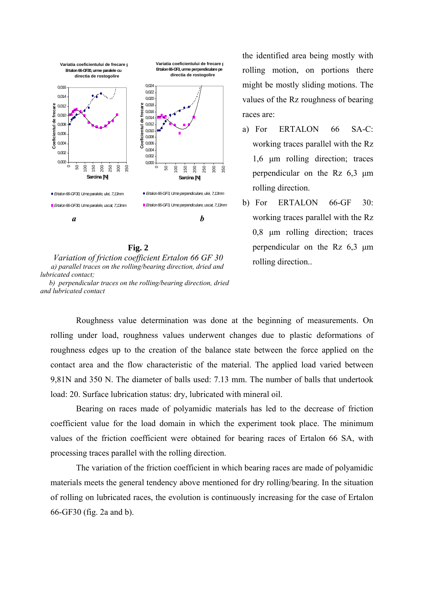

**Fig. 2** *Variation of friction coefficient Ertalon 66 GF 30 a) parallel traces on the rolling/bearing direction, dried and lubricated contact; b) perpendicular traces on the rolling/bearing direction, dried and lubricated contact*

the identified area being mostly with rolling motion, on portions there might be mostly sliding motions. The values of the Rz roughness of bearing races are:

- a) For ERTALON 66 SA-C: working traces parallel with the Rz 1,6 μm rolling direction; traces perpendicular on the Rz 6,3 μm rolling direction.
- b) For ERTALON 66-GF 30: working traces parallel with the Rz 0,8 μm rolling direction; traces perpendicular on the Rz 6,3 μm rolling direction..

Roughness value determination was done at the beginning of measurements. On rolling under load, roughness values underwent changes due to plastic deformations of roughness edges up to the creation of the balance state between the force applied on the contact area and the flow characteristic of the material. The applied load varied between 9,81N and 350 N. The diameter of balls used: 7.13 mm. The number of balls that undertook load: 20. Surface lubrication status: dry, lubricated with mineral oil.

Bearing on races made of polyamidic materials has led to the decrease of friction coefficient value for the load domain in which the experiment took place. The minimum values of the friction coefficient were obtained for bearing races of Ertalon 66 SA, with processing traces parallel with the rolling direction.

The variation of the friction coefficient in which bearing races are made of polyamidic materials meets the general tendency above mentioned for dry rolling/bearing. In the situation of rolling on lubricated races, the evolution is continuously increasing for the case of Ertalon 66-GF30 (fig. 2a and b).